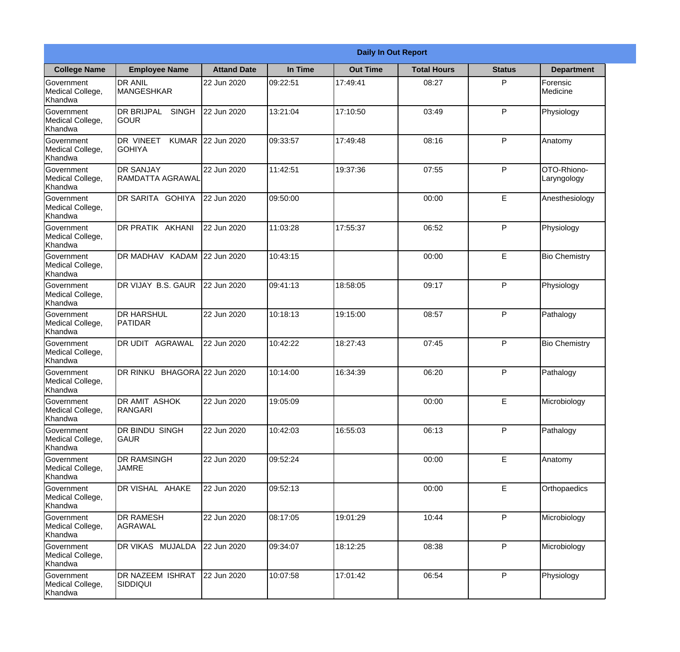|                                                  |                                                   |                     |          | <b>Daily In Out Report</b> |                    |               |                            |
|--------------------------------------------------|---------------------------------------------------|---------------------|----------|----------------------------|--------------------|---------------|----------------------------|
| <b>College Name</b>                              | <b>Employee Name</b>                              | <b>Attand Date</b>  | In Time  | <b>Out Time</b>            | <b>Total Hours</b> | <b>Status</b> | <b>Department</b>          |
| Government<br>Medical College,<br>Khandwa        | <b>DR ANIL</b><br><b>MANGESHKAR</b>               | 22 Jun 2020         | 09:22:51 | 17:49:41                   | 08:27              | P             | Forensic<br>Medicine       |
| Government<br>Medical College,<br>Khandwa        | <b>DR BRIJPAL</b><br><b>SINGH</b><br> GOUR        | 22 Jun 2020         | 13:21:04 | 17:10:50                   | 03:49              | P             | Physiology                 |
| <b>Government</b><br>Medical College,<br>Khandwa | <b>DR VINEET</b><br><b>KUMAR</b><br><b>GOHIYA</b> | 22 Jun 2020         | 09:33:57 | 17:49:48                   | 08:16              | P             | Anatomy                    |
| <b>Government</b><br>Medical College,<br>Khandwa | <b>DR SANJAY</b><br>RAMDATTA AGRAWAL              | 22 Jun 2020         | 11:42:51 | 19:37:36                   | 07:55              | P             | OTO-Rhiono-<br>Laryngology |
| Government<br>Medical College,<br>Khandwa        | DR SARITA GOHIYA                                  | 22 Jun 2020         | 09:50:00 |                            | 00:00              | E             | Anesthesiology             |
| Government<br>Medical College,<br>Khandwa        | DR PRATIK AKHANI                                  | 22 Jun 2020         | 11:03:28 | 17:55:37                   | 06:52              | P             | Physiology                 |
| <b>Government</b><br>Medical College,<br>Khandwa | DR MADHAV KADAM 22 Jun 2020                       |                     | 10:43:15 |                            | 00:00              | E             | <b>Bio Chemistry</b>       |
| <b>Government</b><br>Medical College,<br>Khandwa | DR VIJAY B.S. GAUR                                | 22 Jun 2020         | 09:41:13 | 18:58:05                   | 09:17              | P             | Physiology                 |
| Government<br>Medical College,<br>Khandwa        | <b>DR HARSHUL</b><br><b>PATIDAR</b>               | 22 Jun 2020         | 10:18:13 | 19:15:00                   | 08:57              | P             | Pathalogy                  |
| Government<br>Medical College,<br>Khandwa        | <b>DR UDIT AGRAWAL</b>                            | 22 Jun 2020         | 10:42:22 | 18:27:43                   | 07:45              | P             | <b>Bio Chemistry</b>       |
| Government<br>Medical College,<br>Khandwa        | <b>DR RINKU</b>                                   | BHAGORA 22 Jun 2020 | 10:14:00 | 16:34:39                   | 06:20              | P             | Pathalogy                  |
| Government<br>Medical College,<br>Khandwa        | DR AMIT ASHOK<br>RANGARI                          | 22 Jun 2020         | 19:05:09 |                            | 00:00              | E             | Microbiology               |
| Government<br>Medical College,<br>Khandwa        | DR BINDU SINGH<br>lgaur                           | 22 Jun 2020         | 10:42:03 | 16:55:03                   | 06:13              | P             | Pathalogy                  |
| Government<br>Medical College,<br>Khandwa        | <b>DR RAMSINGH</b><br><b>JAMRE</b>                | 22 Jun 2020         | 09:52:24 |                            | 00:00              | $\mathsf E$   | Anatomy                    |
| Government<br>Medical College,<br>Khandwa        | DR VISHAL AHAKE                                   | 22 Jun 2020         | 09:52:13 |                            | 00:00              | E             | Orthopaedics               |
| Government<br>Medical College,<br>Khandwa        | <b>DR RAMESH</b><br>AGRAWAL                       | 22 Jun 2020         | 08:17:05 | 19:01:29                   | 10:44              | P             | Microbiology               |
| Government<br>Medical College,<br>Khandwa        | <b>DR VIKAS MUJALDA</b>                           | 22 Jun 2020         | 09:34:07 | 18:12:25                   | 08:38              | P             | Microbiology               |
| Government<br>Medical College,<br>Khandwa        | <b>DR NAZEEM ISHRAT</b><br><b>SIDDIQUI</b>        | 22 Jun 2020         | 10:07:58 | 17:01:42                   | 06:54              | P             | Physiology                 |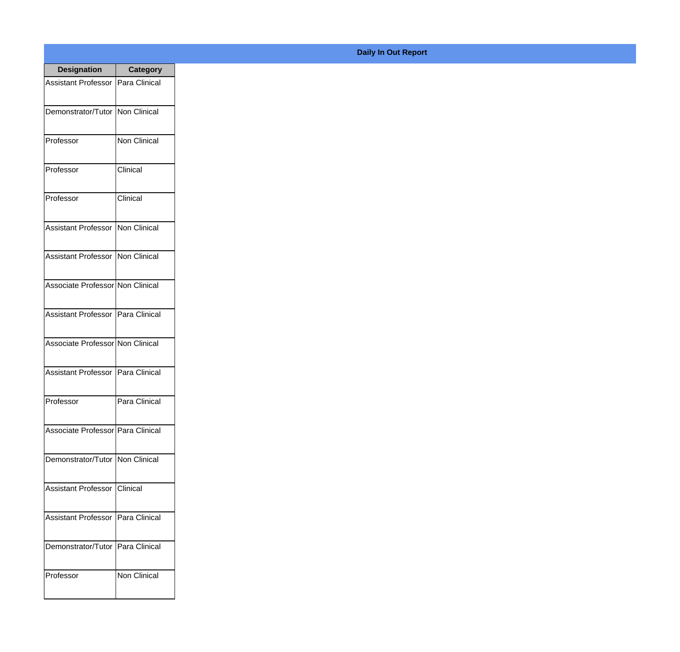| <b>Designation</b>                  | <b>Category</b>       |
|-------------------------------------|-----------------------|
| <b>Assistant Professor</b>          | <b>IPara Clinical</b> |
| Demonstrator/Tutor                  | Non Clinical          |
| Professor                           | <b>Non Clinical</b>   |
| Professor                           | Clinical              |
| Professor                           | Clinical              |
| <b>Assistant Professor</b>          | Non Clinical          |
| <b>Assistant Professor</b>          | Non Clinical          |
| Associate Professor Non Clinical    |                       |
| <b>Assistant Professor</b>          | Para Clinical         |
| Associate Professor Non Clinical    |                       |
| Assistant Professor                 | Para Clinical         |
| Professor                           | Para Clinical         |
| Associate Professor   Para Clinical |                       |
| Demonstrator/Tutor   Non Clinical   |                       |
| <b>Assistant Professor</b>          | <b>Clinical</b>       |
| <b>Assistant Professor</b>          | Para Clinical         |
| Demonstrator/Tutor                  | Para Clinical         |
| Professor                           | Non Clinical          |

**Daily In Out Report**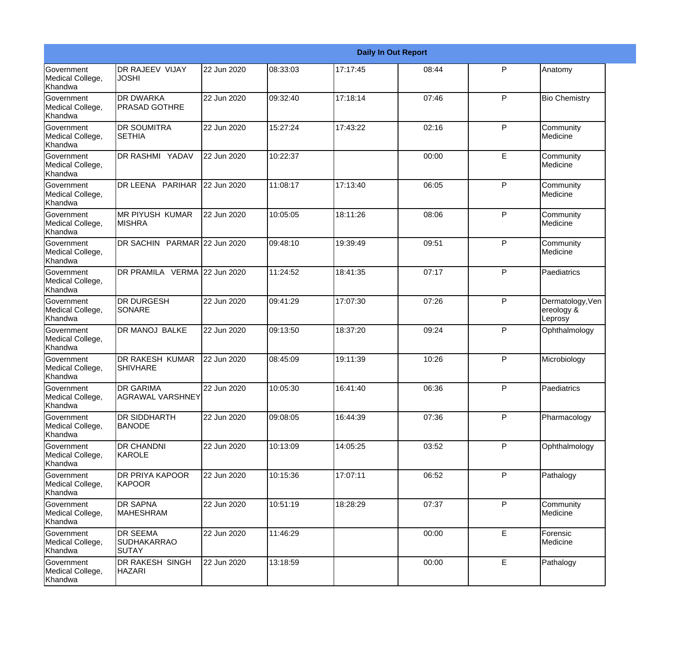|                                                  |                                                |             |          |          | <b>Daily In Out Report</b> |              |                                           |
|--------------------------------------------------|------------------------------------------------|-------------|----------|----------|----------------------------|--------------|-------------------------------------------|
| Government<br>Medical College,<br>Khandwa        | DR RAJEEV VIJAY<br><b>JOSHI</b>                | 22 Jun 2020 | 08:33:03 | 17:17:45 | 08:44                      | P            | Anatomy                                   |
| Government<br>Medical College,<br>Khandwa        | <b>DR DWARKA</b><br><b>PRASAD GOTHRE</b>       | 22 Jun 2020 | 09:32:40 | 17:18:14 | 07:46                      | $\mathsf{P}$ | <b>Bio Chemistry</b>                      |
| <b>Government</b><br>Medical College,<br>Khandwa | <b>DR SOUMITRA</b><br><b>SETHIA</b>            | 22 Jun 2020 | 15:27:24 | 17:43:22 | 02:16                      | $\mathsf{P}$ | Community<br>Medicine                     |
| <b>Government</b><br>Medical College,<br>Khandwa | DR RASHMI YADAV                                | 22 Jun 2020 | 10:22:37 |          | 00:00                      | E            | Community<br>Medicine                     |
| <b>Government</b><br>Medical College,<br>Khandwa | DR LEENA PARIHAR                               | 22 Jun 2020 | 11:08:17 | 17:13:40 | 06:05                      | $\mathsf{P}$ | Community<br>Medicine                     |
| Government<br>Medical College,<br>Khandwa        | <b>MR PIYUSH KUMAR</b><br><b>MISHRA</b>        | 22 Jun 2020 | 10:05:05 | 18:11:26 | 08:06                      | $\mathsf{P}$ | Community<br>Medicine                     |
| <b>Government</b><br>Medical College,<br>Khandwa | DR SACHIN PARMAR 22 Jun 2020                   |             | 09:48:10 | 19:39:49 | 09:51                      | $\mathsf{P}$ | Community<br>Medicine                     |
| <b>Government</b><br>Medical College,<br>Khandwa | DR PRAMILA VERMA 22 Jun 2020                   |             | 11:24:52 | 18:41:35 | 07:17                      | $\mathsf{P}$ | Paediatrics                               |
| Government<br>Medical College,<br>Khandwa        | <b>DR DURGESH</b><br>SONARE                    | 22 Jun 2020 | 09:41:29 | 17:07:30 | 07:26                      | $\mathsf{P}$ | Dermatology, Ven<br>ereology &<br>Leprosy |
| <b>Government</b><br>Medical College,<br>Khandwa | DR MANOJ BALKE                                 | 22 Jun 2020 | 09:13:50 | 18:37:20 | 09:24                      | $\mathsf{P}$ | Ophthalmology                             |
| <b>Government</b><br>Medical College,<br>Khandwa | <b>DR RAKESH KUMAR</b><br><b>SHIVHARE</b>      | 22 Jun 2020 | 08:45:09 | 19:11:39 | 10:26                      | P            | Microbiology                              |
| Government<br>Medical College,<br>Khandwa        | <b>DR GARIMA</b><br>AGRAWAL VARSHNEY           | 22 Jun 2020 | 10:05:30 | 16:41:40 | 06:36                      | P            | Paediatrics                               |
| Government<br>Medical College,<br>Khandwa        | DR SIDDHARTH<br><b>BANODE</b>                  | 22 Jun 2020 | 09:08:05 | 16:44:39 | 07:36                      | P            | Pharmacology                              |
| <b>Government</b><br>Medical College,<br>Khandwa | DR CHANDNI<br>KAROLE                           | 22 Jun 2020 | 10:13:09 | 14:05:25 | 03:52                      | P            | Ophthalmology                             |
| Government<br>Medical College,<br>Khandwa        | <b>DR PRIYA KAPOOR</b><br>KAPOOR               | 22 Jun 2020 | 10:15:36 | 17:07:11 | 06:52                      | P            | Pathalogy                                 |
| Government<br>Medical College,<br>Khandwa        | DR SAPNA<br><b>MAHESHRAM</b>                   | 22 Jun 2020 | 10:51:19 | 18:28:29 | 07:37                      | P            | Community<br>Medicine                     |
| Government<br>Medical College,<br>Khandwa        | <b>DR SEEMA</b><br><b>SUDHAKARRAO</b><br>SUTAY | 22 Jun 2020 | 11:46:29 |          | 00:00                      | E            | Forensic<br>Medicine                      |
| Government<br>Medical College,<br>Khandwa        | DR RAKESH SINGH<br><b>HAZARI</b>               | 22 Jun 2020 | 13:18:59 |          | 00:00                      | E            | Pathalogy                                 |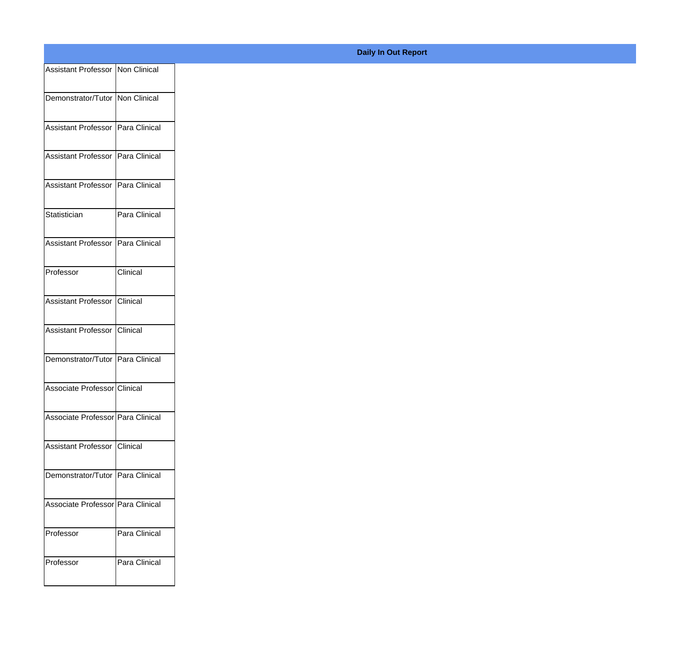| Assistant Professor   Non Clinical  |               |
|-------------------------------------|---------------|
|                                     |               |
| Demonstrator/Tutor   Non Clinical   |               |
| Assistant Professor   Para Clinical |               |
| Assistant Professor   Para Clinical |               |
|                                     |               |
| Assistant Professor   Para Clinical |               |
| Statistician                        | Para Clinical |
|                                     |               |
| Assistant Professor   Para Clinical |               |
| Professor                           | Clinical      |
|                                     |               |
| Assistant Professor Clinical        |               |
| Assistant Professor                 | Clinical      |
|                                     |               |
| Demonstrator/Tutor Para Clinical    |               |
| Associate Professor Clinical        |               |
| Associate Professor Para Clinical   |               |
|                                     |               |
| Assistant Professor                 | Clinical      |
| Demonstrator/Tutor Para Clinical    |               |
|                                     |               |
| Associate Professor Para Clinical   |               |
| Professor                           | Para Clinical |
|                                     |               |
| Professor                           | Para Clinical |
|                                     |               |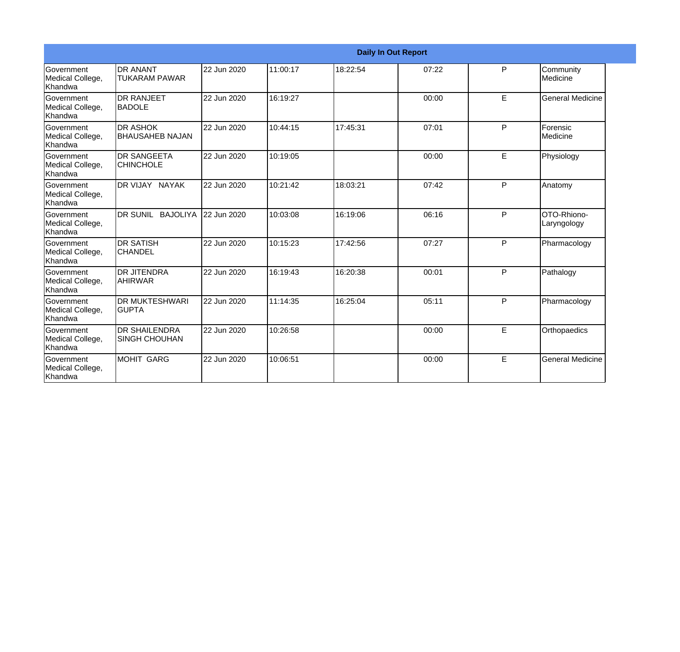|                                                  |                                              |             |          |          | <b>Daily In Out Report</b> |   |                            |
|--------------------------------------------------|----------------------------------------------|-------------|----------|----------|----------------------------|---|----------------------------|
| Government<br>Medical College,<br>Khandwa        | <b>DR ANANT</b><br><b>TUKARAM PAWAR</b>      | 22 Jun 2020 | 11:00:17 | 18:22:54 | 07:22                      | P | Community<br>Medicine      |
| Government<br>Medical College,<br>Khandwa        | <b>DR RANJEET</b><br><b>BADOLE</b>           | 22 Jun 2020 | 16:19:27 |          | 00:00                      | E | <b>General Medicine</b>    |
| Government<br>Medical College,<br>Khandwa        | <b>DR ASHOK</b><br><b>BHAUSAHEB NAJAN</b>    | 22 Jun 2020 | 10:44:15 | 17:45:31 | 07:01                      | P | Forensic<br>Medicine       |
| Government<br>Medical College,<br>Khandwa        | <b>DR SANGEETA</b><br><b>CHINCHOLE</b>       | 22 Jun 2020 | 10:19:05 |          | 00:00                      | E | Physiology                 |
| Government<br>Medical College,<br>Khandwa        | DR VIJAY NAYAK                               | 22 Jun 2020 | 10:21:42 | 18:03:21 | 07:42                      | P | Anatomy                    |
| Government<br>Medical College,<br>Khandwa        | DR SUNIL BAJOLIYA                            | 22 Jun 2020 | 10:03:08 | 16:19:06 | 06:16                      | P | OTO-Rhiono-<br>Laryngology |
| Government<br>Medical College,<br>Khandwa        | <b>DR SATISH</b><br><b>CHANDEL</b>           | 22 Jun 2020 | 10:15:23 | 17:42:56 | 07:27                      | P | Pharmacology               |
| Government<br>Medical College,<br>Khandwa        | <b>DR JITENDRA</b><br><b>AHIRWAR</b>         | 22 Jun 2020 | 16:19:43 | 16:20:38 | 00:01                      | P | Pathalogy                  |
| Government<br>Medical College,<br>Khandwa        | <b>DR MUKTESHWARI</b><br><b>GUPTA</b>        | 22 Jun 2020 | 11:14:35 | 16:25:04 | 05:11                      | P | Pharmacology               |
| <b>Government</b><br>Medical College,<br>Khandwa | <b>DR SHAILENDRA</b><br><b>SINGH CHOUHAN</b> | 22 Jun 2020 | 10:26:58 |          | 00:00                      | E | Orthopaedics               |
| Government<br>Medical College,<br>Khandwa        | <b>MOHIT GARG</b>                            | 22 Jun 2020 | 10:06:51 |          | 00:00                      | E | <b>General Medicine</b>    |